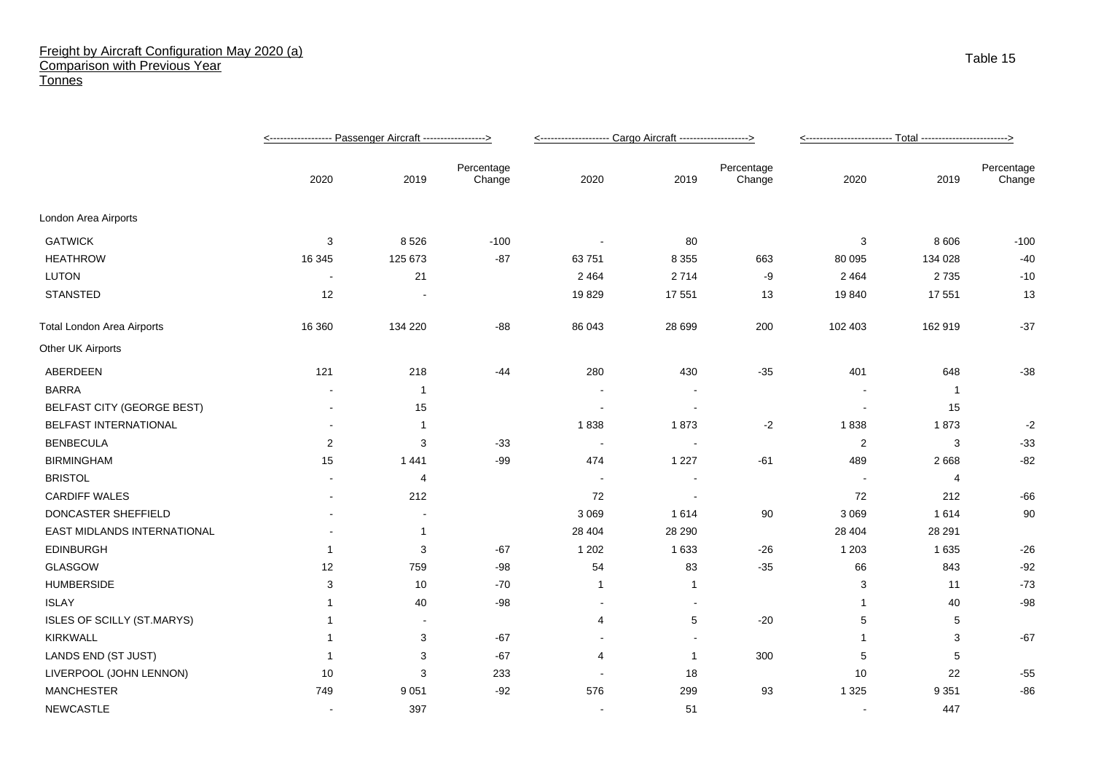## Freight by Aircraft Configuration May 2020 (a) Comparison with Previous Year **Tonnes**

|                                   |                |                |                      | <-------------------- Cargo Aircraft -------------------> |                |                      | <-------------------------- <u>----- Total -------------------------&gt;</u> |                |                      |
|-----------------------------------|----------------|----------------|----------------------|-----------------------------------------------------------|----------------|----------------------|------------------------------------------------------------------------------|----------------|----------------------|
|                                   | 2020           | 2019           | Percentage<br>Change | 2020                                                      | 2019           | Percentage<br>Change | 2020                                                                         | 2019           | Percentage<br>Change |
| London Area Airports              |                |                |                      |                                                           |                |                      |                                                                              |                |                      |
| <b>GATWICK</b>                    | 3              | 8526           | $-100$               |                                                           | 80             |                      | 3                                                                            | 8 6 0 6        | $-100$               |
| <b>HEATHROW</b>                   | 16 345         | 125 673        | $-87$                | 63 751                                                    | 8 3 5 5        | 663                  | 80 095                                                                       | 134 028        | $-40$                |
| <b>LUTON</b>                      |                | 21             |                      | 2 4 6 4                                                   | 2714           | -9                   | 2 4 6 4                                                                      | 2735           | $-10$                |
| <b>STANSTED</b>                   | 12             |                |                      | 19829                                                     | 17 551         | 13                   | 19840                                                                        | 17 551         | 13                   |
| <b>Total London Area Airports</b> | 16 360         | 134 220        | $-88$                | 86 043                                                    | 28 6 9 9       | 200                  | 102 403                                                                      | 162 919        | $-37$                |
| Other UK Airports                 |                |                |                      |                                                           |                |                      |                                                                              |                |                      |
| ABERDEEN                          | 121            | 218            | $-44$                | 280                                                       | 430            | $-35$                | 401                                                                          | 648            | $-38$                |
| <b>BARRA</b>                      |                | -1             |                      |                                                           |                |                      |                                                                              | -1             |                      |
| <b>BELFAST CITY (GEORGE BEST)</b> |                | 15             |                      |                                                           |                |                      |                                                                              | 15             |                      |
| BELFAST INTERNATIONAL             |                | -1             |                      | 1838                                                      | 1873           | $-2$                 | 1838                                                                         | 1873           | $-2$                 |
| <b>BENBECULA</b>                  | 2              | 3              | $-33$                | $\sim$                                                    | $\sim$         |                      | 2                                                                            | 3              | $-33$                |
| <b>BIRMINGHAM</b>                 | 15             | 1 4 4 1        | $-99$                | 474                                                       | 1 2 2 7        | $-61$                | 489                                                                          | 2668           | $-82$                |
| <b>BRISTOL</b>                    |                | $\overline{4}$ |                      |                                                           |                |                      |                                                                              | $\overline{4}$ |                      |
| <b>CARDIFF WALES</b>              |                | 212            |                      | 72                                                        | $\blacksquare$ |                      | 72                                                                           | 212            | $-66$                |
| DONCASTER SHEFFIELD               |                |                |                      | 3 0 6 9                                                   | 1614           | 90                   | 3 0 6 9                                                                      | 1614           | 90                   |
| EAST MIDLANDS INTERNATIONAL       |                | $\mathbf 1$    |                      | 28 404                                                    | 28 290         |                      | 28 4 04                                                                      | 28 291         |                      |
| <b>EDINBURGH</b>                  | $\overline{1}$ | 3              | $-67$                | 1 2 0 2                                                   | 1 6 3 3        | $-26$                | 1 2 0 3                                                                      | 1 6 3 5        | $-26$                |
| GLASGOW                           | 12             | 759            | $-98$                | 54                                                        | 83             | $-35$                | 66                                                                           | 843            | $-92$                |
| <b>HUMBERSIDE</b>                 | 3              | 10             | $-70$                | $\mathbf{1}$                                              | $\mathbf{1}$   |                      | 3                                                                            | 11             | $-73$                |
| <b>ISLAY</b>                      |                | 40             | $-98$                | $\sim$                                                    | $\blacksquare$ |                      | -1                                                                           | 40             | $-98$                |
| ISLES OF SCILLY (ST.MARYS)        |                |                |                      | 4                                                         | 5              | $-20$                | 5                                                                            | 5              |                      |
| <b>KIRKWALL</b>                   |                | 3              | $-67$                |                                                           |                |                      | 1                                                                            | 3              | $-67$                |
| LANDS END (ST JUST)               |                | 3              | -67                  | $\overline{4}$                                            | $\mathbf{1}$   | 300                  | 5                                                                            | 5              |                      |
| LIVERPOOL (JOHN LENNON)           | 10             | 3              | 233                  |                                                           | 18             |                      | 10                                                                           | 22             | $-55$                |
| <b>MANCHESTER</b>                 | 749            | 9 0 5 1        | $-92$                | 576                                                       | 299            | 93                   | 1 3 2 5                                                                      | 9 3 5 1        | $-86$                |
| NEWCASTLE                         |                | 397            |                      |                                                           | 51             |                      |                                                                              | 447            |                      |